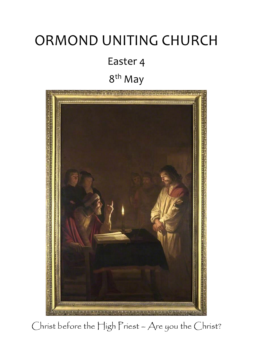# ORMOND UNITING CHURCH Easter 4 8<sup>th</sup> May



Christ before the High Priest - Are you the Christ?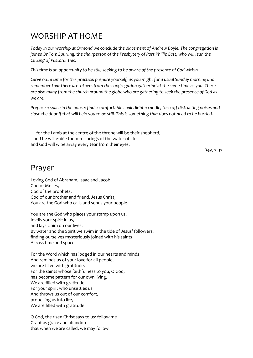# WORSHIP AT HOME

*Today in our worship at Ormond we conclude the placement of Andrew Boyle. The congregation is joined Dr Tom Spurling, the chairperson of the Presbytery of Port Phillip East, who will lead the Cutting of Pastoral Ties.*

*This time is an opportunity to be still, seeking to be aware of the presence of God within.*

*Carve out a time for this practice; prepare yourself, as you might for a usual Sunday morning and remember that there are others from the congregation gathering at the same time as you. There are also many from the church around the globe who are gathering to seek the presence of God as we are.*

*Prepare a space in the house; find a comfortable chair, light a candle, turn off distracting noises and close the door if that will help you to be still. This is something that does not need to be hurried.*

… for the Lamb at the centre of the throne will be their shepherd, and he will guide them to springs of the water of life, and God will wipe away every tear from their eyes.

Rev. 7. 17

# Prayer

Loving God of Abraham, Isaac and Jacob, God of Moses, God of the prophets, God of our brother and friend, Jesus Christ, You are the God who calls and sends your people.

You are the God who places your stamp upon us, Instils your spirit in us, and lays claim on our lives. By water and the Spirit we swim in the tide of Jesus' followers, finding ourselves mysteriously joined with his saints Across time and space.

For the Word which has lodged in our hearts and minds And reminds us of your love for all people, we are filled with gratitude. For the saints whose faithfulness to you, O God, has become pattern for our own living, We are filled with gratitude. For your spirit who unsettles us And throws us out of our comfort, propelling us into life, We are filled with gratitude.

O God, the risen Christ says to us: follow me. Grant us grace and abandon that when we are called, we may follow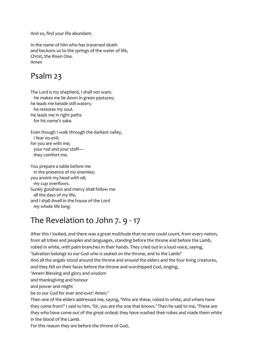And so, find your life abundant.

In the name of him who has traversed death and beckons us to the springs of the water of life, Christ, the Risen One. Amen

# Psalm 23

The Lord is my shepherd, I shall not want. He makes me lie down in green pastures; he leads me beside still waters; he restores my soul. He leads me in right paths for his name's sake.

Even though I walk through the darkest valley, I fear no evil; for you are with me; your rod and your staff they comfort me.

You prepare a table before me in the presence of my enemies; you anoint my head with oil; my cup overflows. Surely goodness and mercy shall follow me all the days of my life, and I shall dwell in the house of the Lord my whole life long.

# The Revelation to John 7. 9 - 17

After this I looked, and there was a great multitude that no one could count, from every nation, from all tribes and peoples and languages, standing before the throne and before the Lamb, robed in white, with palm branches in their hands. They cried out in a loud voice, saying, 'Salvation belongs to our God who is seated on the throne, and to the Lamb!' And all the angels stood around the throne and around the elders and the four living creatures, and they fell on their faces before the throne and worshipped God, singing, 'Amen! Blessing and glory and wisdom

and thanksgiving and honour

and power and might

be to our God for ever and ever! Amen.'

Then one of the elders addressed me, saying, 'Who are these, robed in white, and where have they come from?' I said to him, 'Sir, you are the one that knows.' Then he said to me, 'These are they who have come out of the great ordeal; they have washed their robes and made them white in the blood of the Lamb.

For this reason they are before the throne of God,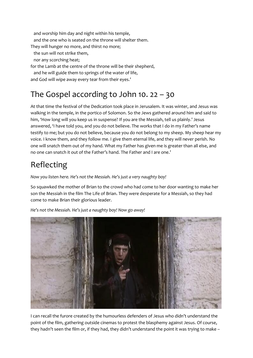and worship him day and night within his temple, and the one who is seated on the throne will shelter them. They will hunger no more, and thirst no more; the sun will not strike them,

nor any scorching heat;

for the Lamb at the centre of the throne will be their shepherd, and he will guide them to springs of the water of life, and God will wipe away every tear from their eyes.'

# The Gospel according to John 10. 22 – 30

At that time the festival of the Dedication took place in Jerusalem. It was winter, and Jesus was walking in the temple, in the portico of Solomon. So the Jews gathered around him and said to him, 'How long will you keep us in suspense? If you are the Messiah, tell us plainly.' Jesus answered, 'I have told you, and you do not believe. The works that I do in my Father's name testify to me; but you do not believe, because you do not belong to my sheep. My sheep hear my voice. I know them, and they follow me. I give them eternal life, and they will never perish. No one will snatch them out of my hand. What my Father has given me is greater than all else, and no one can snatch it out of the Father's hand. The Father and I are one.'

# Reflecting

*Now you listen here. He's not the Messiah. He's just a very naughty boy!*

So squawked the mother of Brian to the crowd who had come to her door wanting to make her son the Messiah in the film The Life of Brian. They were desperate for a Messiah, so they had come to make Brian their glorious leader.



*He's not the Messiah. He's just a naughty boy! Now go away!*

I can recall the furore created by the humourless defenders of Jesus who didn't understand the point of the film, gathering outside cinemas to protest the blasphemy against Jesus. Of course, they hadn't seen the film or, if they had, they didn't understand the point it was trying to make –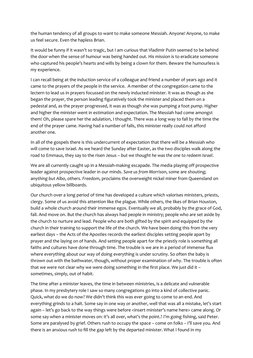the human tendency of all groups to want to make someone Messiah. Anyone! Anyone, to make us feel secure. Even the hapless Brian.

It would be funny if it wasn't so tragic, but I am curious that Vladimir Putin seemed to be behind the door when the sense of humour was being handed out. His mission is to eradicate someone who captured his people's hearts and wills by being a clown for them. Beware the humourless is my experience.

I can recall being at the induction service of a colleague and friend a number of years ago and it came to the prayers of the people in the service. A member of the congregation came to the lectern to lead us in prayers focussed on the newly inducted minister. It was as though as she began the prayer, the person leading figuratively took the minister and placed them on a pedestal and, as the prayer progressed, it was as though she was pumping a foot pump. Higher and higher the minister went in estimation and expectation. The Messiah had come amongst them! Oh, please spare her the adulation, I thought. There was a long way to fall by the time the end of the prayer came. Having had a number of falls, this minister really could not afford another one.

In all of the gospels there is this undercurrent of expectation that there will be a Messiah who will come to save Israel. As we heard the Sunday after Easter, as the two disciples walk along the road to Emmaus, they say to the risen Jesus – *but we thought he was the one to redeem Israel*.

We are all currently caught up in a Messiah-making escapade. The media playing off prospective leader against prospective leader in our minds. *Save us from Morrison*, some are shouting; anyt*hing but Albo*, others. *Freedom*, proclaims the overweight nickel miner from Queensland on ubiquitous yellow billboards.

Our church over a long period of time has developed a culture which valorises ministers, priests, clergy. Some of us avoid this attention like the plague. While others, the likes of Brian Houston, build a whole church around their immense egos. Eventually we all, probably by the grace of God, fall. And move on. But the church has always had people in ministry; people who are set aside by the church to nurture and lead. People who are both gifted by the spirit and equipped by the church in their training to support the life of the church. We have been doing this from the very earliest days – the Acts of the Apostles records the earliest disciples setting people apart by prayer and the laying on of hands. And setting people apart for the priestly role is something all faiths and cultures have done through time. The trouble is we are in a period of immense flux where everything about our way of doing everything is under scrutiny. So often the baby is thrown out with the bathwater, though, without proper examination of why. The trouble is often that we were not clear why we were doing something in the first place. We just did it – sometimes, simply, out of habit.

The time after a minister leaves, the time in between ministries, is a delicate and vulnerable phase. In my presbytery role I saw so many congregations go into a kind of collective panic. Quick, what do we do now? We didn't think this was ever going to come to an end. And everything grinds to a halt. Some say in one way or another, well that was all a mistake, let's start again – let's go back to the way things were before <insert minister's name here> came along. Or some say when a minister moves on: it's all over, what's the point.? I'm going fishing, said Peter. Some are paralysed by grief. Others rush to occupy the space – come on folks – I'll save you. And there is an anxious rush to fill the gap left by the departed minister. What I found in my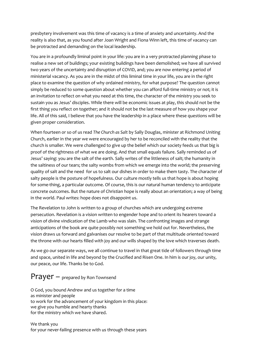presbytery involvement was this time of vacancy is a time of anxiety and uncertainty. And the reality is also that, as you found after Joan Wright and Fiona Winn left, this time of vacancy can be protracted and demanding on the local leadership.

You are in a profoundly liminal point in your life: you are in a very protracted planning phase to realise a new set of buildings; your existing buildings have been demolished; we have all survived two years of the uncertainty and disruption of COVID, and; you are now entering a period of ministerial vacancy. As you are in the midst of this liminal time in your life, you are in the right place to examine the question of why ordained ministry, for what purpose? The question cannot simply be reduced to some question about whether you can afford full-time ministry or not; it is an invitation to reflect on what you need at this time, the character of the ministry you seek to sustain you as Jesus' disciples. While there will be economic issues at play, this should not be the first thing you reflect on together; and it should not be the last measure of how you shape your life. All of this said, I believe that you have the leadership in a place where these questions will be given proper consideration.

When fourteen or so of us read *The Church as Salt* by Sally Douglas, minister at Richmond Uniting Church, earlier in the year we were encouraged by her to be reconciled with the reality that the church is smaller. We were challenged to give up the belief which our society feeds us that big is proof of the rightness of what we are doing. And that small equals failure. Sally reminded us of Jesus' saying: you are the salt of the earth. Sally writes of the littleness of salt; the humanity in the saltiness of our tears; the salty wombs from which we emerge into the world; the preserving quality of salt and the need for us to salt our dishes in order to make them tasty. The character of salty people is the posture of hopefulness. Our culture mostly tells us that hope is about hoping for some-thing, a particular outcome. Of course, this is our natural human tendency to anticipate concrete outcomes. But the nature of Christian hope is really about an orientation; a way of being in the world. Paul writes: hope does not disappoint us.

The Revelation to John is written to a group of churches which are undergoing extreme persecution. Revelation is a vision written to engender hope and to orient its hearers toward a vision of divine vindication of the Lamb who was slain. The confronting images and strange anticipations of the book are quite possibly not something we hold out for. Nevertheless, the vision draws us forward and galvanises our resolve to be part of that multitude oriented toward the throne with our hearts filled with joy and our wills shaped by the love which traverses death.

As we go our separate ways, we all continue to travel in that great tide of followers through time and space, united in life and beyond by the Crucified and Risen One. In him is our joy, our unity, our peace, our life. Thanks be to God.

## Prayer – prepared by Ron Townsend

O God, you bound Andrew and us together for a time as minister and people to work for the advancement of your kingdom in this place: we give you humble and hearty thanks for the ministry which we have shared.

We thank you for your never-failing presence with us through these years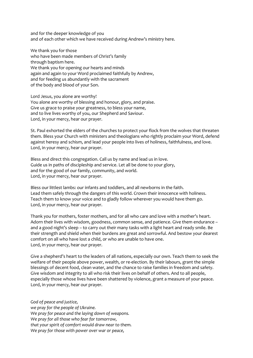and for the deeper knowledge of you and of each other which we have received during Andrew's ministry here.

We thank you for those who have been made members of Christ's family through baptism here. We thank you for opening our hearts and minds again and again to your Word proclaimed faithfully by Andrew, and for feeding us abundantly with the sacrament of the body and blood of your Son.

Lord Jesus, you alone are worthy! You alone are worthy of blessing and honour, glory, and praise. Give us grace to praise your greatness, to bless your name, and to live lives worthy of you, our Shepherd and Saviour. Lord, in your mercy, hear our prayer.

St. Paul exhorted the elders of the churches to protect your flock from the wolves that threaten them. Bless your Church with ministers and theologians who rightly proclaim your Word, defend against heresy and schism, and lead your people into lives of holiness, faithfulness, and love. Lord, in your mercy, hear our prayer.

Bless and direct this congregation. Call us by name and lead us in love. Guide us in paths of discipleship and service. Let all be done to your glory, and for the good of our family, community, and world. Lord, in your mercy, hear our prayer.

Bless our littlest lambs: our infants and toddlers, and all newborns in the faith. Lead them safely through the dangers of this world. Crown their innocence with holiness. Teach them to know your voice and to gladly follow wherever you would have them go. Lord, in your mercy, hear our prayer.

Thank you for mothers, foster mothers, and for all who care and love with a mother's heart. Adorn their lives with wisdom, goodness, common sense, and patience. Give them endurance – and a good night's sleep – to carry out their many tasks with a light heart and ready smile. Be their strength and shield when their burdens are great and sorrowful. And bestow your dearest comfort on all who have lost a child, or who are unable to have one. Lord, in your mercy, hear our prayer.

Give a shepherd's heart to the leaders of all nations, especially our own. Teach them to seek the welfare of their people above power, wealth, or re-election. By their labours, grant the simple blessings of decent food, clean water, and the chance to raise families in freedom and safety. Give wisdom and integrity to all who risk their lives on behalf of others. And to all people, especially those whose lives have been shattered by violence, grant a measure of your peace. Lord, in your mercy, hear our prayer.

*God of peace and justice, we pray for the people of Ukraine. We pray for peace and the laying down of weapons. We pray for all those who fear for tomorrow, that your spirit of comfort would draw near to them. We pray for those with power over war or peace,*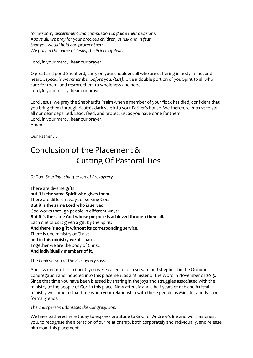*for wisdom, discernment and compassion to guide their decisions. Above all, we pray for your precious children, at risk and in fear, that you would hold and protect them. We pray in the name of Jesus, the Prince of Peace.*

Lord, in your mercy, hear our prayer.

O great and good Shepherd, carry on your shoulders all who are suffering in body, mind, and heart. *Especially we remember before you: {List}.* Give a double portion of you Spirit to all who care for them, and restore them to wholeness and hope. Lord, in your mercy, hear our prayer.

Lord Jesus, we pray the Shepherd's Psalm when a member of your flock has died, confident that you bring them through death's dark vale into your Father's house. We therefore entrust to you all our dear departed. Lead, feed, and protect us, as you have done for them. Lord, in your mercy, hear our prayer. Amen.

Our Father …

# Conclusion of the Placement & Cutting Of Pastoral Ties

*Dr Tom Spurling, chairperson of Presbytery*

There are diverse gifts **but it is the same Spirit who gives them.** There are different ways of serving God: **But it is the same Lord who is served.** God works through people in different ways: **But it is the same God whose purpose is achieved through them all.** Each one of us is given a gift by the Spirit: **And there is no gift without its corresponding service.** There is one ministry of Christ **and in this ministry we all share.** Together we are the body of Christ: **And individually members of it.**

The *Chairperson of the Presbytery* says:

Andrew my brother in Christ, you were called to be a servant and shepherd in the Ormond congregation and inducted into this placement as a Minister of the Word in November of 2015. Since that time you have been blessed by sharing in the joys and struggles associated with the ministry of the people of God in this place. Now after six and a half years of rich and fruitful ministry we come to that time when your relationship with these people as Minister and Pastor formally ends.

*The chairperson addresses the Congregation:*

We have gathered here today to express gratitude to God for Andrew's life and work amongst you, to recognise the alteration of our relationship, both corporately and individually, and release him from this placement.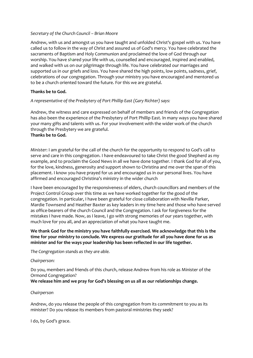#### *Secretary of the Church Council – Brian Moore*

Andrew, with us and amongst us you have taught and unfolded Christ's gospel with us. You have called us to follow in the way of Christ and assured us of God's mercy. You have celebrated the sacraments of Baptism and Holy Communion and proclaimed the love of God through our worship. You have shared your life with us, counselled and encouraged, inspired and enabled, and walked with us on our pilgrimage through life. You have celebrated our marriages and supported us in our griefs and loss. You have shared the high points, low points, sadness, grief, celebrations of our congregation. Through your ministry you have encouraged and mentored us to be a church oriented toward the future. For this we are grateful.

#### **Thanks be to God.**

#### *A representative of the Presbytery of Port Phillip East (Gary Richter) says:*

Andrew, the witness and care expressed on behalf of members and friends of the Congregation has also been the experience of the Presbytery of Port Phillip East. In many ways you have shared your many gifts and talents with us. For your involvement with the wider work of the church through the Presbytery we are grateful. **Thanks be to God.**

*Minister*: I am grateful for the call of the church for the opportunity to respond to God's call to serve and care in this congregation. I have endeavoured to take Christ the good Shepherd as my example, and to proclaim the Good News in all we have done together. I thank God for all of you, for the love, kindness, generosity and support shown to Christina and me over the span of this placement. I know you have prayed for us and encouraged us in our personal lives. You have affirmed and encouraged Christina's ministry in the wider church

I have been encouraged by the responsiveness of elders, church councillors and members of the Project Control Group over this time as we have worked together for the good of the congregation. In particular, I have been grateful for close collaboration with Neville Parker, Mardie Townsend and Heather Baxter as key leaders in my time here and those who have served as office-bearers of the church Council and the Congregation. I ask for forgiveness for the mistakes I have made. Now, as I leave, I go with strong memories of our years together, with much love for you all, and an appreciation of what you have taught me.

**We thank God for the ministry you have faithfully exercised. We acknowledge that this is the time for your ministry to conclude. We express our gratitude for all you have done for us as minister and for the ways your leadership has been reflected in our life together.** 

*The Congregation stands as they are able.*

#### *Chairperson:*

Do you, members and friends of this church, release Andrew from his role as Minister of the Ormond Congregation?

**We release him and we pray for God's blessing on us all as our relationships change.**

#### *Chairperson*

Andrew, do you release the people of this congregation from its commitment to you as its minister? Do you release its members from pastoral ministries they seek?

I do, by God's grace.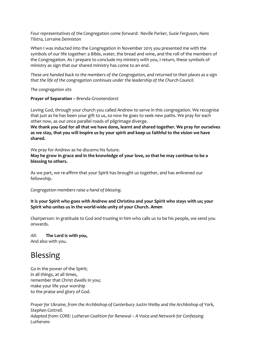*Four representatives of the Congregation come forward: Neville Parker, Suzie Ferguson, Hans Tilstra, Lorraine Denniston*

When I was inducted into the Congregation in November 2015 you presented me with the symbols of our life together: a Bible, water, the bread and wine, and the roll of the members of the Congregation. As I prepare to conclude my ministry with you, I return, these symbols of ministry as sign that our shared ministry has come to an end.

*These are handed back to the members of the Congregation, and returned to their places as a sign that the life of the congregation continues under the leadership of the Church Council.*

*The congregation sits*

**Prayer of Separation –** Brenda Grootendorst

Loving God, through your church you called Andrew to serve in this congregation. We recognise that just as he has been your gift to us, so now he goes to seek new paths. We pray for each other now, as our once parallel roads of pilgrimage diverge.

**We thank you God for all that we have done, learnt and shared together. We pray for ourselves as we stay, that you will inspire us by your spirit and keep us faithful to the vision we have shared.**

We pray for Andrew as he discerns his future.

**May he grow in grace and in the knowledge of your love, so that he may continue to be a blessing to others.**

As we part, we re-affirm that your Spirit has brought us together, and has enlivened our fellowship.

*Congregation members raise a hand of blessing.*

**It is your Spirit who goes with Andrew and Christina and your Spirit who stays with us; your Spirit who unites us in the world-wide unity of your Church. Amen**

*Chairperson*: In gratitude to God and trusting in him who calls us to be his people, we send you onwards.

*All*: **The Lord is with you,** And also with you.

# Blessing

Go in the power of the Spirit; in all things, at all times, remember that Christ dwells in you; make your life your worship to the praise and glory of God.

*Prayer for Ukraine, from the Archbishop of Canterbury Justin Welby and the Archbishop of York, Stephen Cottrell. Adapted from: CORE: Lutheran Coalition for Renewal – A Voice and Network for Confessing Lutherans*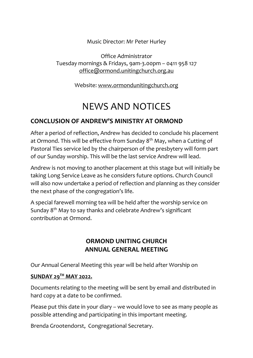Music Director: Mr Peter Hurley

Office Administrator Tuesday mornings & Fridays, 9am-3.00pm – 0411 958 127 [office@ormond.unitingchurch.org.au](mailto:office@ormond.unitingchurch.org.au)

Website: [www.ormondunitingchurch.org](http://www.ormondunitingchurch.org/)

# NEWS AND NOTICES

### **CONCLUSION OF ANDREW'S MINISTRY AT ORMOND**

After a period of reflection, Andrew has decided to conclude his placement at Ormond. This will be effective from Sunday  $8<sup>th</sup>$  May, when a Cutting of Pastoral Ties service led by the chairperson of the presbytery will form part of our Sunday worship. This will be the last service Andrew will lead.

Andrew is not moving to another placement at this stage but will initially be taking Long Service Leave as he considers future options. Church Council will also now undertake a period of reflection and planning as they consider the next phase of the congregation's life.

A special farewell morning tea will be held after the worship service on Sunday 8th May to say thanks and celebrate Andrew's significant contribution at Ormond.

### **ORMOND UNITING CHURCH ANNUAL GENERAL MEETING**

Our Annual General Meeting this year will be held after Worship on

### **SUNDAY 29TH MAY 2022.**

Documents relating to the meeting will be sent by email and distributed in hard copy at a date to be confirmed.

Please put this date in your diary – we would love to see as many people as possible attending and participating in this important meeting.

Brenda Grootendorst, Congregational Secretary.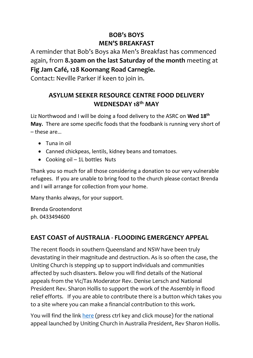### **BOB's BOYS MEN'S BREAKFAST**

A reminder that Bob's Boys aka Men's Breakfast has commenced again, from **8.30am on the last Saturday of the month** meeting at **Fig Jam Café, 128 Koornang Road Carnegie.**

Contact: Neville Parker if keen to join in.

### **ASYLUM SEEKER RESOURCE CENTRE FOOD DELIVERY WEDNESDAY 18th MAY**

Liz Northwood and I will be doing a food delivery to the ASRC on **Wed 18th May.** There are some specific foods that the foodbank is running very short of – these are…

- Tuna in oil
- Canned chickpeas, lentils, kidney beans and tomatoes.
- Cooking oil 1L bottles Nuts

Thank you so much for all those considering a donation to our very vulnerable refugees. If you are unable to bring food to the church please contact Brenda and I will arrange for collection from your home.

Many thanks always, for your support.

Brenda Grootendorst ph. 0433494600

### **EAST COAST of AUSTRALIA - FLOODING EMERGENCY APPEAL**

The recent floods in southern Queensland and NSW have been truly devastating in their magnitude and destruction. As is so often the case, the Uniting Church is stepping up to support individuals and communities affected by such disasters. Below you will find details of the National appeals from the Vic/Tas Moderator Rev. Denise Lersch and National President Rev. Sharon Hollis to support the work of the Assembly in flood relief efforts. If you are able to contribute there is a button which takes you to a site where you can make a financial contribution to this work.

You will find the link [here](https://uniting.church/east-coast-flooding-emergency-appeal/) (press ctrl key and click mouse) for the national appeal launched by Uniting Church in Australia President, Rev Sharon Hollis.